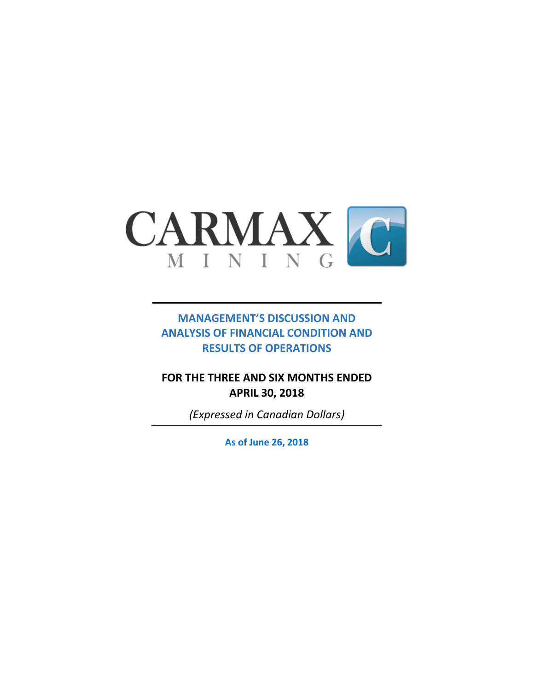

## **MANAGEMENT'S DISCUSSION AND ANALYSIS OF FINANCIAL CONDITION AND RESULTS OF OPERATIONS**

**FOR THE THREE AND SIX MONTHS ENDED APRIL 30, 2018**

*(Expressed in Canadian Dollars)*

**As of June 26, 2018**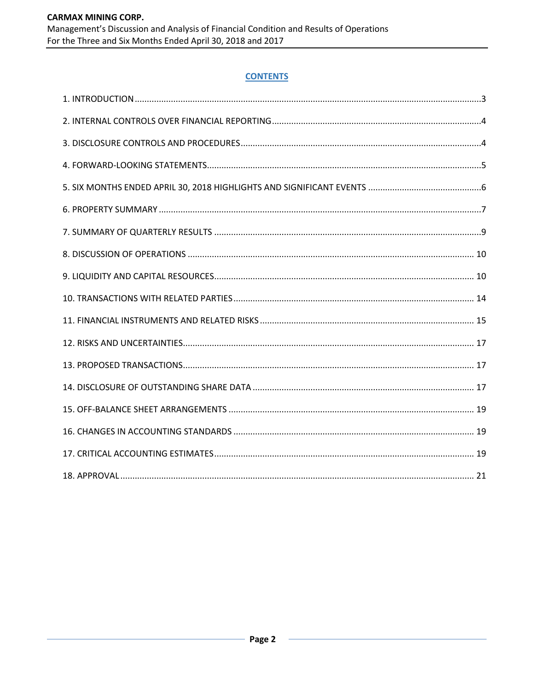## **CONTENTS**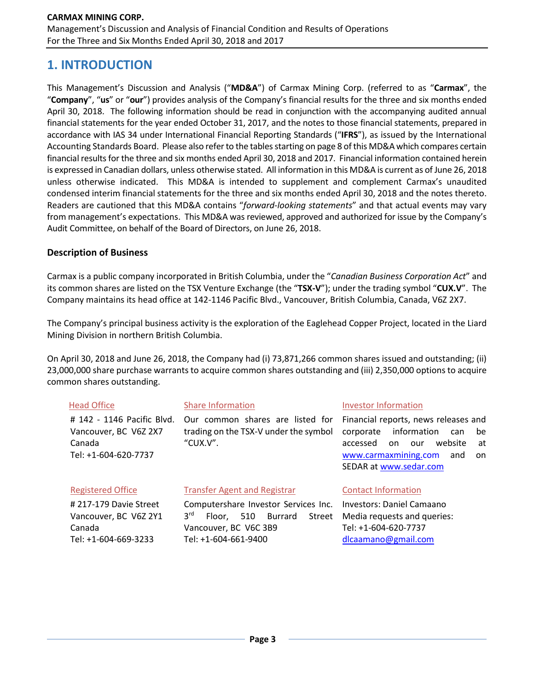## **1. INTRODUCTION**

This Management's Discussion and Analysis ("**MD&A**") of Carmax Mining Corp. (referred to as "**Carmax**", the "**Company**", "**us**" or "**our**") provides analysis of the Company's financial results for the three and six months ended April 30, 2018. The following information should be read in conjunction with the accompanying audited annual financial statements for the year ended October 31, 2017, and the notes to those financial statements, prepared in accordance with IAS 34 under International Financial Reporting Standards ("**IFRS**"), as issued by the International Accounting Standards Board. Please also refer to the tables starting on page 8 of this MD&A which compares certain financial results for the three and six months ended April 30, 2018 and 2017. Financial information contained herein is expressed in Canadian dollars, unless otherwise stated. All information in this MD&A is current as of June 26, 2018 unless otherwise indicated. This MD&A is intended to supplement and complement Carmax's unaudited condensed interim financial statements for the three and six months ended April 30, 2018 and the notes thereto. Readers are cautioned that this MD&A contains "*forward-looking statements*" and that actual events may vary from management's expectations. This MD&A was reviewed, approved and authorized for issue by the Company's Audit Committee, on behalf of the Board of Directors, on June 26, 2018.

## **Description of Business**

Carmax is a public company incorporated in British Columbia, under the "*Canadian Business Corporation Act*" and its common shares are listed on the TSX Venture Exchange (the "**TSX-V**"); under the trading symbol "**CUX.V**". The Company maintains its head office at 142-1146 Pacific Blvd., Vancouver, British Columbia, Canada, V6Z 2X7.

The Company's principal business activity is the exploration of the Eaglehead Copper Project, located in the Liard Mining Division in northern British Columbia.

On April 30, 2018 and June 26, 2018, the Company had (i) 73,871,266 common shares issued and outstanding; (ii) 23,000,000 share purchase warrants to acquire common shares outstanding and (iii) 2,350,000 options to acquire common shares outstanding.

| <b>Head Office</b>                                                                                                                                                                                                                 | <b>Share Information</b>            | <b>Investor Information</b>                                                                                                                                                             |
|------------------------------------------------------------------------------------------------------------------------------------------------------------------------------------------------------------------------------------|-------------------------------------|-----------------------------------------------------------------------------------------------------------------------------------------------------------------------------------------|
| # 142 - 1146 Pacific Blvd.<br>Our common shares are listed for<br>trading on the TSX-V under the symbol<br>Vancouver, BC V6Z 2X7<br>"CUX.V".<br>Canada<br>Tel: +1-604-620-7737                                                     |                                     | Financial reports, news releases and<br>information<br>corporate<br>be<br>can<br>website<br>accessed<br>on<br>our<br>at<br>www.carmaxmining.com<br>and<br>on.<br>SEDAR at www.sedar.com |
| <b>Registered Office</b>                                                                                                                                                                                                           | <b>Transfer Agent and Registrar</b> | <b>Contact Information</b>                                                                                                                                                              |
| #217-179 Davie Street<br>Computershare Investor Services Inc.<br>3 <sup>rd</sup><br>Burrard<br>Vancouver, BC V6Z 2Y1<br>510<br>Street<br>Floor.<br>Vancouver, BC V6C 3B9<br>Canada<br>Tel: +1-604-669-3233<br>Tel: +1-604-661-9400 |                                     | Investors: Daniel Camaano<br>Media requests and queries:<br>Tel: +1-604-620-7737<br>dlcaamano@gmail.com                                                                                 |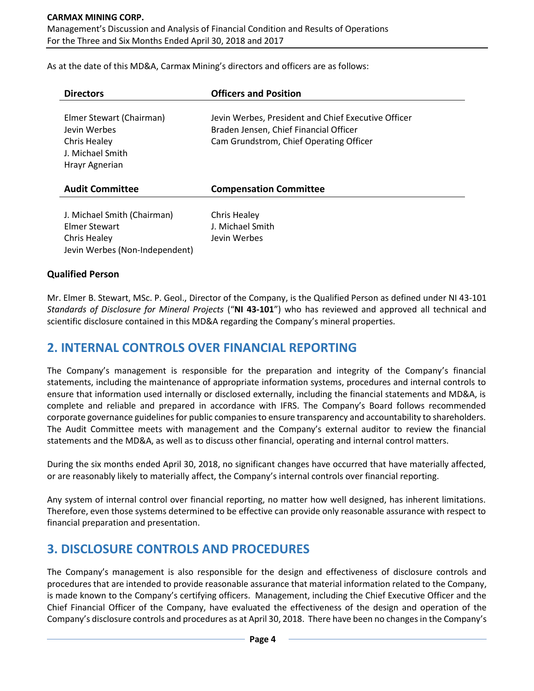## **CARMAX MINING CORP.** Management's Discussion and Analysis of Financial Condition and Results of Operations For the Three and Six Months Ended April 30, 2018 and 2017

As at the date of this MD&A, Carmax Mining's directors and officers are as follows:

| <b>Directors</b>                                                                               | <b>Officers and Position</b>                                                                                                             |
|------------------------------------------------------------------------------------------------|------------------------------------------------------------------------------------------------------------------------------------------|
| Elmer Stewart (Chairman)<br>Jevin Werbes<br>Chris Healey<br>J. Michael Smith<br>Hrayr Agnerian | Jevin Werbes, President and Chief Executive Officer<br>Braden Jensen, Chief Financial Officer<br>Cam Grundstrom, Chief Operating Officer |
| <b>Audit Committee</b>                                                                         | <b>Compensation Committee</b>                                                                                                            |
| J. Michael Smith (Chairman)<br>Elmer Stewart<br>Chris Healey<br>Jevin Werbes (Non-Independent) | Chris Healey<br>J. Michael Smith<br>Jevin Werbes                                                                                         |

## **Qualified Person**

Mr. Elmer B. Stewart, MSc. P. Geol., Director of the Company, is the Qualified Person as defined under NI 43-101 *Standards of Disclosure for Mineral Projects* ("**NI 43-101**") who has reviewed and approved all technical and scientific disclosure contained in this MD&A regarding the Company's mineral properties.

## **2. INTERNAL CONTROLS OVER FINANCIAL REPORTING**

The Company's management is responsible for the preparation and integrity of the Company's financial statements, including the maintenance of appropriate information systems, procedures and internal controls to ensure that information used internally or disclosed externally, including the financial statements and MD&A, is complete and reliable and prepared in accordance with IFRS. The Company's Board follows recommended corporate governance guidelines for public companies to ensure transparency and accountability to shareholders. The Audit Committee meets with management and the Company's external auditor to review the financial statements and the MD&A, as well as to discuss other financial, operating and internal control matters.

During the six months ended April 30, 2018, no significant changes have occurred that have materially affected, or are reasonably likely to materially affect, the Company's internal controls over financial reporting.

Any system of internal control over financial reporting, no matter how well designed, has inherent limitations. Therefore, even those systems determined to be effective can provide only reasonable assurance with respect to financial preparation and presentation.

## **3. DISCLOSURE CONTROLS AND PROCEDURES**

The Company's management is also responsible for the design and effectiveness of disclosure controls and procedures that are intended to provide reasonable assurance that material information related to the Company, is made known to the Company's certifying officers. Management, including the Chief Executive Officer and the Chief Financial Officer of the Company, have evaluated the effectiveness of the design and operation of the Company's disclosure controls and procedures as at April 30, 2018. There have been no changes in the Company's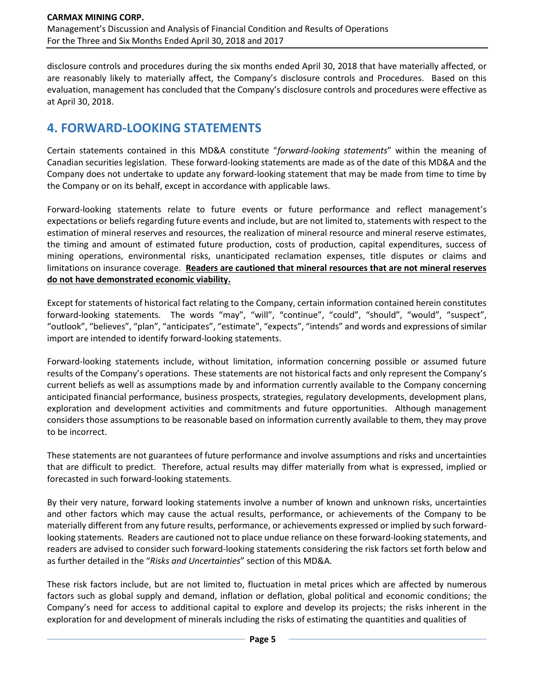disclosure controls and procedures during the six months ended April 30, 2018 that have materially affected, or are reasonably likely to materially affect, the Company's disclosure controls and Procedures. Based on this evaluation, management has concluded that the Company's disclosure controls and procedures were effective as at April 30, 2018.

# **4. FORWARD-LOOKING STATEMENTS**

Certain statements contained in this MD&A constitute "*forward-looking statements*" within the meaning of Canadian securities legislation. These forward-looking statements are made as of the date of this MD&A and the Company does not undertake to update any forward-looking statement that may be made from time to time by the Company or on its behalf, except in accordance with applicable laws.

Forward-looking statements relate to future events or future performance and reflect management's expectations or beliefs regarding future events and include, but are not limited to, statements with respect to the estimation of mineral reserves and resources, the realization of mineral resource and mineral reserve estimates, the timing and amount of estimated future production, costs of production, capital expenditures, success of mining operations, environmental risks, unanticipated reclamation expenses, title disputes or claims and limitations on insurance coverage. **Readers are cautioned that mineral resources that are not mineral reserves do not have demonstrated economic viability.**

Except for statements of historical fact relating to the Company, certain information contained herein constitutes forward-looking statements. The words "may", "will", "continue", "could", "should", "would", "suspect", "outlook", "believes", "plan", "anticipates", "estimate", "expects", "intends" and words and expressions of similar import are intended to identify forward-looking statements.

Forward-looking statements include, without limitation, information concerning possible or assumed future results of the Company's operations. These statements are not historical facts and only represent the Company's current beliefs as well as assumptions made by and information currently available to the Company concerning anticipated financial performance, business prospects, strategies, regulatory developments, development plans, exploration and development activities and commitments and future opportunities. Although management considers those assumptions to be reasonable based on information currently available to them, they may prove to be incorrect.

These statements are not guarantees of future performance and involve assumptions and risks and uncertainties that are difficult to predict. Therefore, actual results may differ materially from what is expressed, implied or forecasted in such forward-looking statements.

By their very nature, forward looking statements involve a number of known and unknown risks, uncertainties and other factors which may cause the actual results, performance, or achievements of the Company to be materially different from any future results, performance, or achievements expressed or implied by such forwardlooking statements. Readers are cautioned not to place undue reliance on these forward-looking statements, and readers are advised to consider such forward-looking statements considering the risk factors set forth below and as further detailed in the "*Risks and Uncertainties*" section of this MD&A.

These risk factors include, but are not limited to, fluctuation in metal prices which are affected by numerous factors such as global supply and demand, inflation or deflation, global political and economic conditions; the Company's need for access to additional capital to explore and develop its projects; the risks inherent in the exploration for and development of minerals including the risks of estimating the quantities and qualities of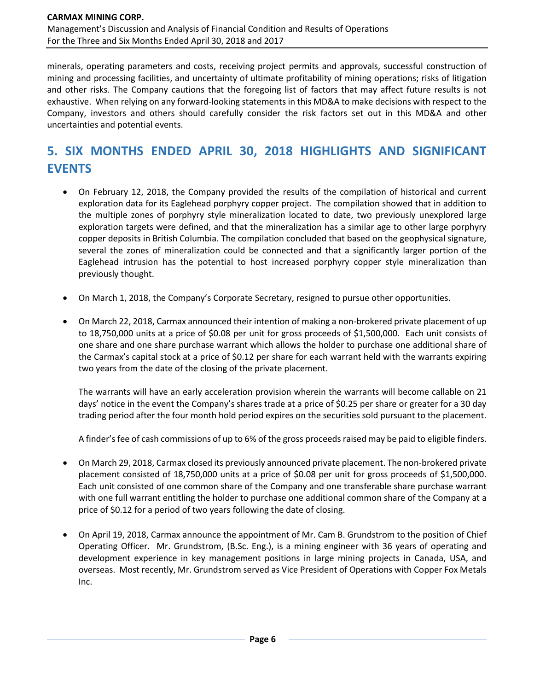minerals, operating parameters and costs, receiving project permits and approvals, successful construction of mining and processing facilities, and uncertainty of ultimate profitability of mining operations; risks of litigation and other risks. The Company cautions that the foregoing list of factors that may affect future results is not exhaustive. When relying on any forward-looking statements in this MD&A to make decisions with respect to the Company, investors and others should carefully consider the risk factors set out in this MD&A and other uncertainties and potential events.

# **5. SIX MONTHS ENDED APRIL 30, 2018 HIGHLIGHTS AND SIGNIFICANT EVENTS**

- On February 12, 2018, the Company provided the results of the compilation of historical and current exploration data for its Eaglehead porphyry copper project. The compilation showed that in addition to the multiple zones of porphyry style mineralization located to date, two previously unexplored large exploration targets were defined, and that the mineralization has a similar age to other large porphyry copper deposits in British Columbia. The compilation concluded that based on the geophysical signature, several the zones of mineralization could be connected and that a significantly larger portion of the Eaglehead intrusion has the potential to host increased porphyry copper style mineralization than previously thought.
- On March 1, 2018, the Company's Corporate Secretary, resigned to pursue other opportunities.
- On March 22, 2018, Carmax announced their intention of making a non-brokered private placement of up to 18,750,000 units at a price of \$0.08 per unit for gross proceeds of \$1,500,000. Each unit consists of one share and one share purchase warrant which allows the holder to purchase one additional share of the Carmax's capital stock at a price of \$0.12 per share for each warrant held with the warrants expiring two years from the date of the closing of the private placement.

The warrants will have an early acceleration provision wherein the warrants will become callable on 21 days' notice in the event the Company's shares trade at a price of \$0.25 per share or greater for a 30 day trading period after the four month hold period expires on the securities sold pursuant to the placement.

A finder's fee of cash commissions of up to 6% of the gross proceeds raised may be paid to eligible finders.

- On March 29, 2018, Carmax closed its previously announced private placement. The non-brokered private placement consisted of 18,750,000 units at a price of \$0.08 per unit for gross proceeds of \$1,500,000. Each unit consisted of one common share of the Company and one transferable share purchase warrant with one full warrant entitling the holder to purchase one additional common share of the Company at a price of \$0.12 for a period of two years following the date of closing.
- On April 19, 2018, Carmax announce the appointment of Mr. Cam B. Grundstrom to the position of Chief Operating Officer. Mr. Grundstrom, (B.Sc. Eng.), is a mining engineer with 36 years of operating and development experience in key management positions in large mining projects in Canada, USA, and overseas. Most recently, Mr. Grundstrom served as Vice President of Operations with Copper Fox Metals Inc.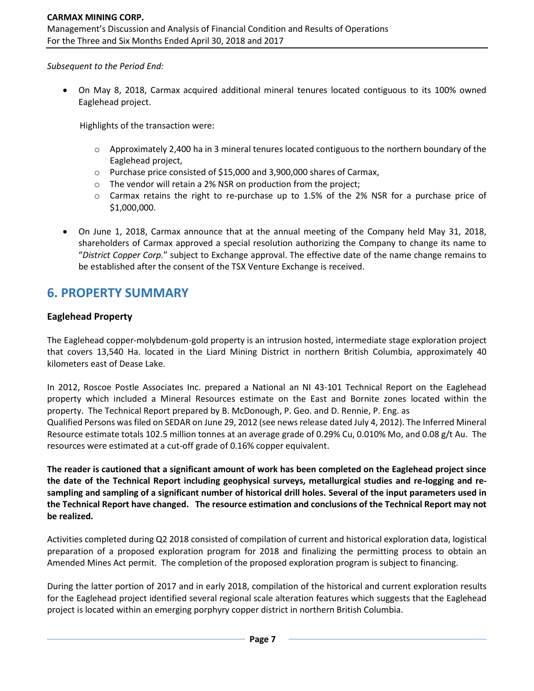*Subsequent to the Period End:*

• On May 8, 2018, Carmax acquired additional mineral tenures located contiguous to its 100% owned Eaglehead project.

Highlights of the transaction were:

- $\circ$  Approximately 2,400 ha in 3 mineral tenures located contiguous to the northern boundary of the Eaglehead project,
- o Purchase price consisted of \$15,000 and 3,900,000 shares of Carmax,
- $\circ$  The vendor will retain a 2% NSR on production from the project;
- o Carmax retains the right to re-purchase up to 1.5% of the 2% NSR for a purchase price of \$1,000,000.
- On June 1, 2018, Carmax announce that at the annual meeting of the Company held May 31, 2018, shareholders of Carmax approved a special resolution authorizing the Company to change its name to "*District Copper Corp.*" subject to Exchange approval. The effective date of the name change remains to be established after the consent of the TSX Venture Exchange is received.

## **6. PROPERTY SUMMARY**

## **Eaglehead Property**

The Eaglehead copper-molybdenum-gold property is an intrusion hosted, intermediate stage exploration project that covers 13,540 Ha. located in the Liard Mining District in northern British Columbia, approximately 40 kilometers east of Dease Lake.

In 2012, Roscoe Postle Associates Inc. prepared a National an NI 43-101 Technical Report on the Eaglehead property which included a Mineral Resources estimate on the East and Bornite zones located within the property. The Technical Report prepared by B. McDonough, P. Geo. and D. Rennie, P. Eng. as Qualified Persons was filed on SEDAR on June 29, 2012 (see news release dated July 4, 2012). The Inferred Mineral Resource estimate totals 102.5 million tonnes at an average grade of 0.29% Cu, 0.010% Mo, and 0.08 g/t Au. The resources were estimated at a cut-off grade of 0.16% copper equivalent.

**The reader is cautioned that a significant amount of work has been completed on the Eaglehead project since the date of the Technical Report including geophysical surveys, metallurgical studies and re-logging and resampling and sampling of a significant number of historical drill holes. Several of the input parameters used in the Technical Report have changed. The resource estimation and conclusions of the Technical Report may not be realized.** 

Activities completed during Q2 2018 consisted of compilation of current and historical exploration data, logistical preparation of a proposed exploration program for 2018 and finalizing the permitting process to obtain an Amended Mines Act permit. The completion of the proposed exploration program is subject to financing.

During the latter portion of 2017 and in early 2018, compilation of the historical and current exploration results for the Eaglehead project identified several regional scale alteration features which suggests that the Eaglehead project is located within an emerging porphyry copper district in northern British Columbia.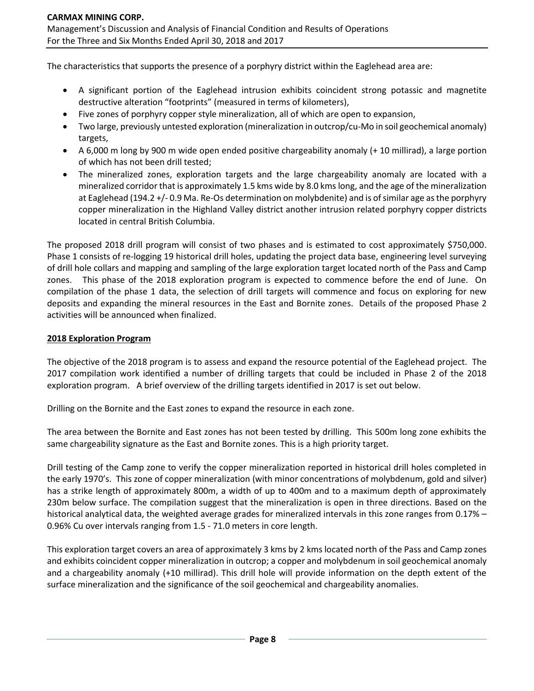The characteristics that supports the presence of a porphyry district within the Eaglehead area are:

- A significant portion of the Eaglehead intrusion exhibits coincident strong potassic and magnetite destructive alteration "footprints" (measured in terms of kilometers),
- Five zones of porphyry copper style mineralization, all of which are open to expansion,
- Two large, previously untested exploration (mineralization in outcrop/cu-Mo in soil geochemical anomaly) targets,
- A 6,000 m long by 900 m wide open ended positive chargeability anomaly (+ 10 millirad), a large portion of which has not been drill tested;
- The mineralized zones, exploration targets and the large chargeability anomaly are located with a mineralized corridor that is approximately 1.5 kms wide by 8.0 kms long, and the age of the mineralization at Eaglehead (194.2 +/- 0.9 Ma. Re-Os determination on molybdenite) and is of similar age as the porphyry copper mineralization in the Highland Valley district another intrusion related porphyry copper districts located in central British Columbia.

The proposed 2018 drill program will consist of two phases and is estimated to cost approximately \$750,000. Phase 1 consists of re-logging 19 historical drill holes, updating the project data base, engineering level surveying of drill hole collars and mapping and sampling of the large exploration target located north of the Pass and Camp zones. This phase of the 2018 exploration program is expected to commence before the end of June. On compilation of the phase 1 data, the selection of drill targets will commence and focus on exploring for new deposits and expanding the mineral resources in the East and Bornite zones. Details of the proposed Phase 2 activities will be announced when finalized.

#### **2018 Exploration Program**

The objective of the 2018 program is to assess and expand the resource potential of the Eaglehead project. The 2017 compilation work identified a number of drilling targets that could be included in Phase 2 of the 2018 exploration program. A brief overview of the drilling targets identified in 2017 is set out below.

Drilling on the Bornite and the East zones to expand the resource in each zone.

The area between the Bornite and East zones has not been tested by drilling. This 500m long zone exhibits the same chargeability signature as the East and Bornite zones. This is a high priority target.

Drill testing of the Camp zone to verify the copper mineralization reported in historical drill holes completed in the early 1970's. This zone of copper mineralization (with minor concentrations of molybdenum, gold and silver) has a strike length of approximately 800m, a width of up to 400m and to a maximum depth of approximately 230m below surface. The compilation suggest that the mineralization is open in three directions. Based on the historical analytical data, the weighted average grades for mineralized intervals in this zone ranges from 0.17% – 0.96% Cu over intervals ranging from 1.5 - 71.0 meters in core length.

This exploration target covers an area of approximately 3 kms by 2 kms located north of the Pass and Camp zones and exhibits coincident copper mineralization in outcrop; a copper and molybdenum in soil geochemical anomaly and a chargeability anomaly (+10 millirad). This drill hole will provide information on the depth extent of the surface mineralization and the significance of the soil geochemical and chargeability anomalies.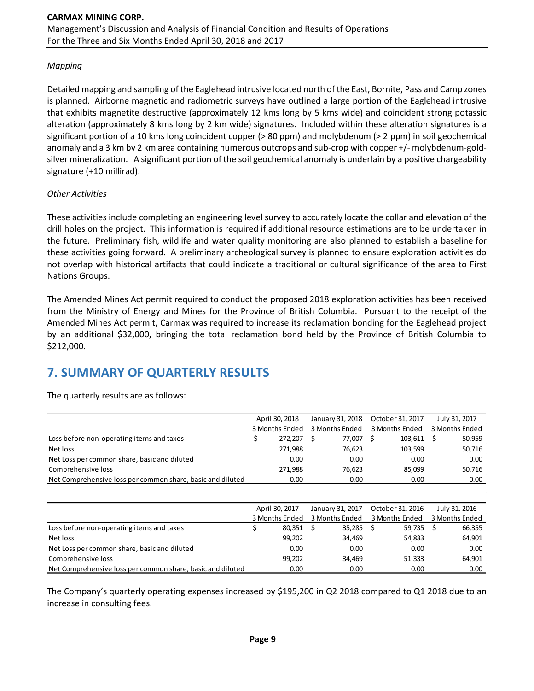## *Mapping*

Detailed mapping and sampling of the Eaglehead intrusive located north of the East, Bornite, Pass and Camp zones is planned. Airborne magnetic and radiometric surveys have outlined a large portion of the Eaglehead intrusive that exhibits magnetite destructive (approximately 12 kms long by 5 kms wide) and coincident strong potassic alteration (approximately 8 kms long by 2 km wide) signatures. Included within these alteration signatures is a significant portion of a 10 kms long coincident copper (> 80 ppm) and molybdenum (> 2 ppm) in soil geochemical anomaly and a 3 km by 2 km area containing numerous outcrops and sub-crop with copper +/- molybdenum-goldsilver mineralization. A significant portion of the soil geochemical anomaly is underlain by a positive chargeability signature (+10 millirad).

## *Other Activities*

These activities include completing an engineering level survey to accurately locate the collar and elevation of the drill holes on the project. This information is required if additional resource estimations are to be undertaken in the future. Preliminary fish, wildlife and water quality monitoring are also planned to establish a baseline for these activities going forward. A preliminary archeological survey is planned to ensure exploration activities do not overlap with historical artifacts that could indicate a traditional or cultural significance of the area to First Nations Groups.

The Amended Mines Act permit required to conduct the proposed 2018 exploration activities has been received from the Ministry of Energy and Mines for the Province of British Columbia. Pursuant to the receipt of the Amended Mines Act permit, Carmax was required to increase its reclamation bonding for the Eaglehead project by an additional \$32,000, bringing the total reclamation bond held by the Province of British Columbia to \$212,000.

# **7. SUMMARY OF QUARTERLY RESULTS**

|                                                            | April 30, 2018 |         |                | January 31, 2018 | October 31, 2017 |         |                | July 31, 2017 |
|------------------------------------------------------------|----------------|---------|----------------|------------------|------------------|---------|----------------|---------------|
|                                                            | 3 Months Ended |         | 3 Months Ended |                  | 3 Months Ended   |         | 3 Months Ended |               |
| Loss before non-operating items and taxes                  |                | 272.207 |                | 77.007           |                  | 103,611 |                | 50,959        |
| Net loss                                                   |                | 271,988 |                | 76,623           |                  | 103,599 |                | 50,716        |
| Net Loss per common share, basic and diluted               |                | 0.00    |                | 0.00             |                  | 0.00    |                | 0.00          |
| Comprehensive loss                                         |                | 271.988 |                | 76,623           |                  | 85.099  |                | 50,716        |
| Net Comprehensive loss per common share, basic and diluted |                | 0.00    |                | 0.00             |                  | 0.00    |                | 0.00          |
|                                                            |                |         |                |                  |                  |         |                |               |

The quarterly results are as follows:

|                                                            | April 30, 2017 | January 31, 2017 | October 31, 2016 | July 31, 2016  |
|------------------------------------------------------------|----------------|------------------|------------------|----------------|
|                                                            | 3 Months Ended | 3 Months Ended   | 3 Months Ended   | 3 Months Ended |
| Loss before non-operating items and taxes                  | 80,351         | 35,285           | 59,735           | 66,355         |
| Net loss                                                   | 99,202         | 34,469           | 54,833           | 64,901         |
| Net Loss per common share, basic and diluted               | 0.00           | 0.00             | 0.00             | 0.00           |
| Comprehensive loss                                         | 99,202         | 34,469           | 51,333           | 64,901         |
| Net Comprehensive loss per common share, basic and diluted | 0.00           | 0.00             | 0.00             | 0.00           |

The Company's quarterly operating expenses increased by \$195,200 in Q2 2018 compared to Q1 2018 due to an increase in consulting fees.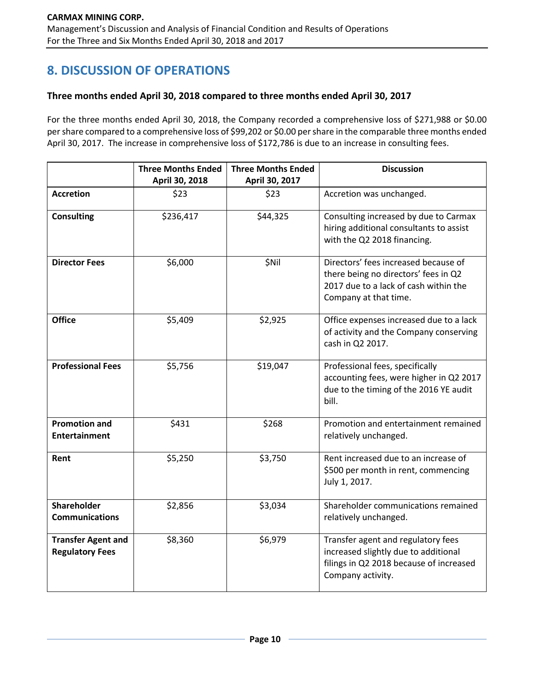# **8. DISCUSSION OF OPERATIONS**

## **Three months ended April 30, 2018 compared to three months ended April 30, 2017**

For the three months ended April 30, 2018, the Company recorded a comprehensive loss of \$271,988 or \$0.00 per share compared to a comprehensive loss of \$99,202 or \$0.00 per share in the comparable three months ended April 30, 2017. The increase in comprehensive loss of \$172,786 is due to an increase in consulting fees.

|                                                     | <b>Three Months Ended</b><br>April 30, 2018 | <b>Three Months Ended</b><br>April 30, 2017 | <b>Discussion</b>                                                                                                                              |
|-----------------------------------------------------|---------------------------------------------|---------------------------------------------|------------------------------------------------------------------------------------------------------------------------------------------------|
| <b>Accretion</b>                                    | \$23                                        | \$23                                        | Accretion was unchanged.                                                                                                                       |
| <b>Consulting</b>                                   | \$236,417                                   | \$44,325                                    | Consulting increased by due to Carmax<br>hiring additional consultants to assist<br>with the Q2 2018 financing.                                |
| <b>Director Fees</b>                                | \$6,000                                     | \$Nil                                       | Directors' fees increased because of<br>there being no directors' fees in Q2<br>2017 due to a lack of cash within the<br>Company at that time. |
| <b>Office</b>                                       | \$5,409                                     | \$2,925                                     | Office expenses increased due to a lack<br>of activity and the Company conserving<br>cash in Q2 2017.                                          |
| <b>Professional Fees</b>                            | \$5,756                                     | \$19,047                                    | Professional fees, specifically<br>accounting fees, were higher in Q2 2017<br>due to the timing of the 2016 YE audit<br>bill.                  |
| <b>Promotion and</b><br><b>Entertainment</b>        | \$431                                       | \$268                                       | Promotion and entertainment remained<br>relatively unchanged.                                                                                  |
| Rent                                                | \$5,250                                     | \$3,750                                     | Rent increased due to an increase of<br>\$500 per month in rent, commencing<br>July 1, 2017.                                                   |
| Shareholder<br><b>Communications</b>                | \$2,856                                     | \$3,034                                     | Shareholder communications remained<br>relatively unchanged.                                                                                   |
| <b>Transfer Agent and</b><br><b>Regulatory Fees</b> | \$8,360                                     | \$6,979                                     | Transfer agent and regulatory fees<br>increased slightly due to additional<br>filings in Q2 2018 because of increased<br>Company activity.     |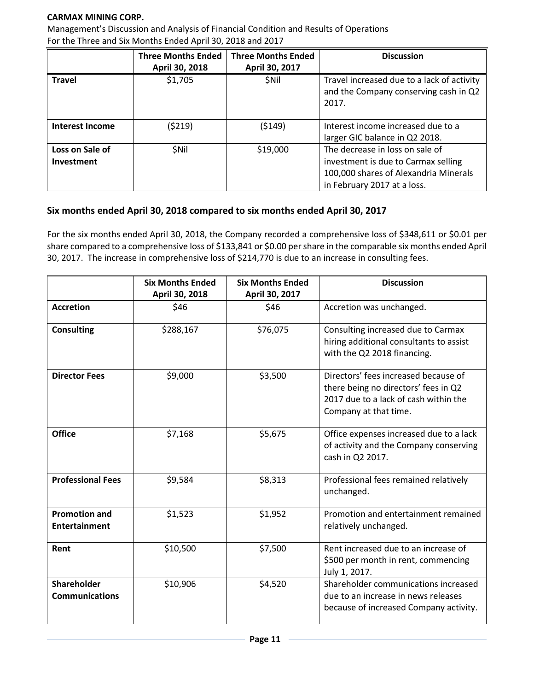## **CARMAX MINING CORP.**

Management's Discussion and Analysis of Financial Condition and Results of Operations For the Three and Six Months Ended April 30, 2018 and 2017

|                               | <b>Three Months Ended</b><br>April 30, 2018 | <b>Three Months Ended</b><br>April 30, 2017 | <b>Discussion</b>                                                                                                                              |
|-------------------------------|---------------------------------------------|---------------------------------------------|------------------------------------------------------------------------------------------------------------------------------------------------|
| <b>Travel</b>                 | \$1,705                                     | <b>SNII</b>                                 | Travel increased due to a lack of activity<br>and the Company conserving cash in Q2<br>2017.                                                   |
| <b>Interest Income</b>        | (\$219)                                     | (5149)                                      | Interest income increased due to a<br>larger GIC balance in Q2 2018.                                                                           |
| Loss on Sale of<br>Investment | <b>SNil</b>                                 | \$19,000                                    | The decrease in loss on sale of<br>investment is due to Carmax selling<br>100,000 shares of Alexandria Minerals<br>in February 2017 at a loss. |

## **Six months ended April 30, 2018 compared to six months ended April 30, 2017**

For the six months ended April 30, 2018, the Company recorded a comprehensive loss of \$348,611 or \$0.01 per share compared to a comprehensive loss of \$133,841 or \$0.00 per share in the comparable six months ended April 30, 2017. The increase in comprehensive loss of \$214,770 is due to an increase in consulting fees.

|                                              | <b>Six Months Ended</b><br>April 30, 2018 | <b>Six Months Ended</b><br>April 30, 2017 | <b>Discussion</b>                                                                                                                              |
|----------------------------------------------|-------------------------------------------|-------------------------------------------|------------------------------------------------------------------------------------------------------------------------------------------------|
| <b>Accretion</b>                             | \$46                                      | \$46                                      | Accretion was unchanged.                                                                                                                       |
| <b>Consulting</b>                            | \$288,167                                 | \$76,075                                  | Consulting increased due to Carmax<br>hiring additional consultants to assist<br>with the Q2 2018 financing.                                   |
| <b>Director Fees</b>                         | \$9,000                                   | \$3,500                                   | Directors' fees increased because of<br>there being no directors' fees in Q2<br>2017 due to a lack of cash within the<br>Company at that time. |
| <b>Office</b>                                | \$7,168                                   | \$5,675                                   | Office expenses increased due to a lack<br>of activity and the Company conserving<br>cash in Q2 2017.                                          |
| <b>Professional Fees</b>                     | \$9,584                                   | \$8,313                                   | Professional fees remained relatively<br>unchanged.                                                                                            |
| <b>Promotion and</b><br><b>Entertainment</b> | \$1,523                                   | \$1,952                                   | Promotion and entertainment remained<br>relatively unchanged.                                                                                  |
| Rent                                         | \$10,500                                  | \$7,500                                   | Rent increased due to an increase of<br>\$500 per month in rent, commencing<br>July 1, 2017.                                                   |
| <b>Shareholder</b><br><b>Communications</b>  | \$10,906                                  | \$4,520                                   | Shareholder communications increased<br>due to an increase in news releases<br>because of increased Company activity.                          |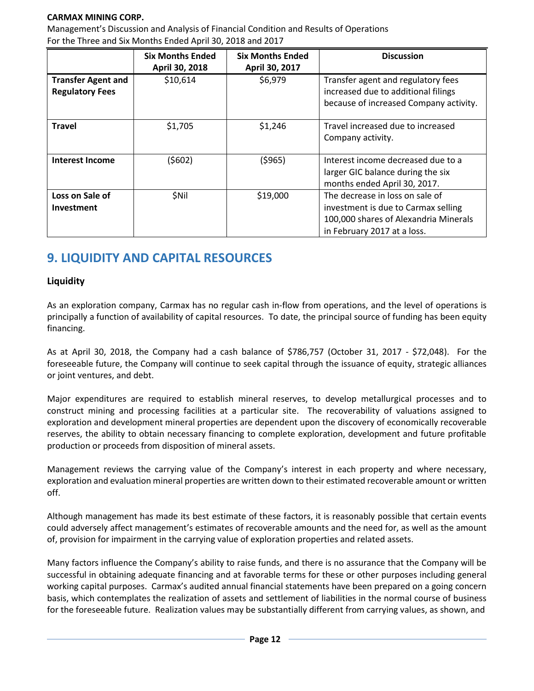## **CARMAX MINING CORP.**

Management's Discussion and Analysis of Financial Condition and Results of Operations For the Three and Six Months Ended April 30, 2018 and 2017

|                                                     | <b>Six Months Ended</b><br>April 30, 2018 | <b>Six Months Ended</b><br>April 30, 2017 | <b>Discussion</b>                                                                                                                              |
|-----------------------------------------------------|-------------------------------------------|-------------------------------------------|------------------------------------------------------------------------------------------------------------------------------------------------|
| <b>Transfer Agent and</b><br><b>Regulatory Fees</b> | \$10,614                                  | \$6,979                                   | Transfer agent and regulatory fees<br>increased due to additional filings<br>because of increased Company activity.                            |
| <b>Travel</b>                                       | \$1,705                                   | \$1,246                                   | Travel increased due to increased<br>Company activity.                                                                                         |
| Interest Income                                     | (\$602)                                   | (5965)                                    | Interest income decreased due to a<br>larger GIC balance during the six<br>months ended April 30, 2017.                                        |
| Loss on Sale of<br><b>Investment</b>                | \$Nil                                     | \$19,000                                  | The decrease in loss on sale of<br>investment is due to Carmax selling<br>100,000 shares of Alexandria Minerals<br>in February 2017 at a loss. |

## **9. LIQUIDITY AND CAPITAL RESOURCES**

## **Liquidity**

As an exploration company, Carmax has no regular cash in-flow from operations, and the level of operations is principally a function of availability of capital resources. To date, the principal source of funding has been equity financing.

As at April 30, 2018, the Company had a cash balance of \$786,757 (October 31, 2017 - \$72,048). For the foreseeable future, the Company will continue to seek capital through the issuance of equity, strategic alliances or joint ventures, and debt.

Major expenditures are required to establish mineral reserves, to develop metallurgical processes and to construct mining and processing facilities at a particular site. The recoverability of valuations assigned to exploration and development mineral properties are dependent upon the discovery of economically recoverable reserves, the ability to obtain necessary financing to complete exploration, development and future profitable production or proceeds from disposition of mineral assets.

Management reviews the carrying value of the Company's interest in each property and where necessary, exploration and evaluation mineral properties are written down to their estimated recoverable amount or written off.

Although management has made its best estimate of these factors, it is reasonably possible that certain events could adversely affect management's estimates of recoverable amounts and the need for, as well as the amount of, provision for impairment in the carrying value of exploration properties and related assets.

Many factors influence the Company's ability to raise funds, and there is no assurance that the Company will be successful in obtaining adequate financing and at favorable terms for these or other purposes including general working capital purposes. Carmax's audited annual financial statements have been prepared on a going concern basis, which contemplates the realization of assets and settlement of liabilities in the normal course of business for the foreseeable future. Realization values may be substantially different from carrying values, as shown, and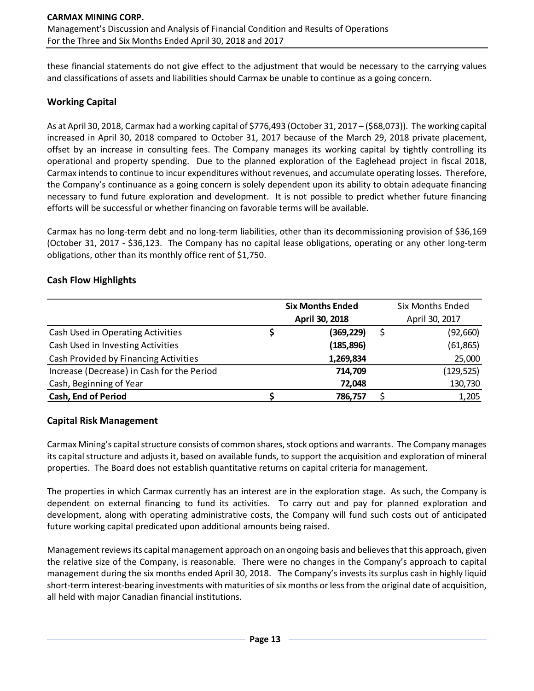these financial statements do not give effect to the adjustment that would be necessary to the carrying values and classifications of assets and liabilities should Carmax be unable to continue as a going concern.

## **Working Capital**

As at April 30, 2018, Carmax had a working capital of \$776,493 (October 31, 2017 – (\$68,073)). The working capital increased in April 30, 2018 compared to October 31, 2017 because of the March 29, 2018 private placement, offset by an increase in consulting fees. The Company manages its working capital by tightly controlling its operational and property spending. Due to the planned exploration of the Eaglehead project in fiscal 2018, Carmax intends to continue to incur expenditures without revenues, and accumulate operating losses. Therefore, the Company's continuance as a going concern is solely dependent upon its ability to obtain adequate financing necessary to fund future exploration and development. It is not possible to predict whether future financing efforts will be successful or whether financing on favorable terms will be available.

Carmax has no long-term debt and no long-term liabilities, other than its decommissioning provision of \$36,169 (October 31, 2017 - \$36,123. The Company has no capital lease obligations, operating or any other long-term obligations, other than its monthly office rent of \$1,750.

## **Cash Flow Highlights**

|                                            | <b>Six Months Ended</b> | <b>Six Months Ended</b> |
|--------------------------------------------|-------------------------|-------------------------|
|                                            | April 30, 2018          | April 30, 2017          |
| Cash Used in Operating Activities          | (369,229)               | (92,660)                |
| Cash Used in Investing Activities          | (185, 896)              | (61, 865)               |
| Cash Provided by Financing Activities      | 1,269,834               | 25,000                  |
| Increase (Decrease) in Cash for the Period | 714,709                 | (129, 525)              |
| Cash, Beginning of Year                    | 72,048                  | 130,730                 |
| <b>Cash, End of Period</b>                 | 786,757                 | 1,205                   |

## **Capital Risk Management**

Carmax Mining's capital structure consists of common shares, stock options and warrants. The Company manages its capital structure and adjusts it, based on available funds, to support the acquisition and exploration of mineral properties. The Board does not establish quantitative returns on capital criteria for management.

The properties in which Carmax currently has an interest are in the exploration stage. As such, the Company is dependent on external financing to fund its activities. To carry out and pay for planned exploration and development, along with operating administrative costs, the Company will fund such costs out of anticipated future working capital predicated upon additional amounts being raised.

Management reviews its capital management approach on an ongoing basis and believes that this approach, given the relative size of the Company, is reasonable. There were no changes in the Company's approach to capital management during the six months ended April 30, 2018. The Company's invests its surplus cash in highly liquid short-term interest-bearing investments with maturities of six months or less from the original date of acquisition, all held with major Canadian financial institutions.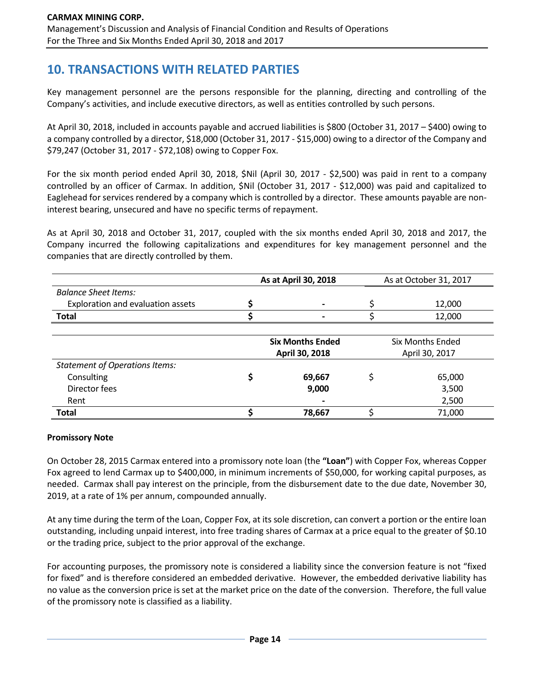## **10. TRANSACTIONS WITH RELATED PARTIES**

Key management personnel are the persons responsible for the planning, directing and controlling of the Company's activities, and include executive directors, as well as entities controlled by such persons.

At April 30, 2018, included in accounts payable and accrued liabilities is \$800 (October 31, 2017 – \$400) owing to a company controlled by a director, \$18,000 (October 31, 2017 - \$15,000) owing to a director of the Company and \$79,247 (October 31, 2017 - \$72,108) owing to Copper Fox.

For the six month period ended April 30, 2018, \$Nil (April 30, 2017 - \$2,500) was paid in rent to a company controlled by an officer of Carmax. In addition, \$Nil (October 31, 2017 - \$12,000) was paid and capitalized to Eaglehead for services rendered by a company which is controlled by a director. These amounts payable are noninterest bearing, unsecured and have no specific terms of repayment.

As at April 30, 2018 and October 31, 2017, coupled with the six months ended April 30, 2018 and 2017, the Company incurred the following capitalizations and expenditures for key management personnel and the companies that are directly controlled by them.

|                                   | As at April 30, 2018 |                         | As at October 31, 2017 |                  |
|-----------------------------------|----------------------|-------------------------|------------------------|------------------|
| <b>Balance Sheet Items:</b>       |                      |                         |                        |                  |
| Exploration and evaluation assets |                      |                         |                        | 12,000           |
| <b>Total</b>                      |                      |                         |                        | 12.000           |
|                                   |                      |                         |                        |                  |
|                                   |                      | <b>Six Months Ended</b> |                        | Six Months Ended |
|                                   |                      |                         |                        |                  |

| Six Months Ended |
|------------------|
| April 30, 2017   |
|                  |
| 65,000           |
| 3,500            |
| 2,500            |
| 71,000           |
|                  |

## **Promissory Note**

On October 28, 2015 Carmax entered into a promissory note loan (the **"Loan"**) with Copper Fox, whereas Copper Fox agreed to lend Carmax up to \$400,000, in minimum increments of \$50,000, for working capital purposes, as needed. Carmax shall pay interest on the principle, from the disbursement date to the due date, November 30, 2019, at a rate of 1% per annum, compounded annually.

At any time during the term of the Loan, Copper Fox, at its sole discretion, can convert a portion or the entire loan outstanding, including unpaid interest, into free trading shares of Carmax at a price equal to the greater of \$0.10 or the trading price, subject to the prior approval of the exchange.

For accounting purposes, the promissory note is considered a liability since the conversion feature is not "fixed for fixed" and is therefore considered an embedded derivative. However, the embedded derivative liability has no value as the conversion price is set at the market price on the date of the conversion. Therefore, the full value of the promissory note is classified as a liability.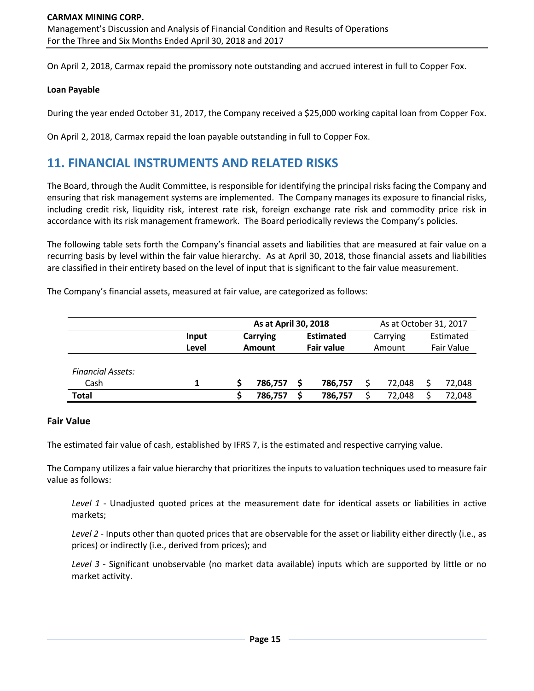On April 2, 2018, Carmax repaid the promissory note outstanding and accrued interest in full to Copper Fox.

#### **Loan Payable**

During the year ended October 31, 2017, the Company received a \$25,000 working capital loan from Copper Fox.

On April 2, 2018, Carmax repaid the loan payable outstanding in full to Copper Fox.

## **11. FINANCIAL INSTRUMENTS AND RELATED RISKS**

The Board, through the Audit Committee, is responsible for identifying the principal risks facing the Company and ensuring that risk management systems are implemented. The Company manages its exposure to financial risks, including credit risk, liquidity risk, interest rate risk, foreign exchange rate risk and commodity price risk in accordance with its risk management framework. The Board periodically reviews the Company's policies.

The following table sets forth the Company's financial assets and liabilities that are measured at fair value on a recurring basis by level within the fair value hierarchy. As at April 30, 2018, those financial assets and liabilities are classified in their entirety based on the level of input that is significant to the fair value measurement.

The Company's financial assets, measured at fair value, are categorized as follows:

|                          |       | As at April 30, 2018 |               |  | As at October 31, 2017 |          |  |            |
|--------------------------|-------|----------------------|---------------|--|------------------------|----------|--|------------|
|                          | Input |                      | Carrying      |  | <b>Estimated</b>       | Carrying |  | Estimated  |
|                          | Level |                      | <b>Amount</b> |  | <b>Fair value</b>      | Amount   |  | Fair Value |
|                          |       |                      |               |  |                        |          |  |            |
| <b>Financial Assets:</b> |       |                      |               |  |                        |          |  |            |
| Cash                     | 1     |                      | 786.757       |  | 786,757                | 72.048   |  | 72,048     |
| Total                    |       |                      | 786,757       |  | 786,757                | 72,048   |  | 72,048     |

## **Fair Value**

The estimated fair value of cash, established by IFRS 7, is the estimated and respective carrying value.

The Company utilizes a fair value hierarchy that prioritizes the inputs to valuation techniques used to measure fair value as follows:

*Level 1* - Unadjusted quoted prices at the measurement date for identical assets or liabilities in active markets;

*Level 2* - Inputs other than quoted prices that are observable for the asset or liability either directly (i.e., as prices) or indirectly (i.e., derived from prices); and

*Level 3* - Significant unobservable (no market data available) inputs which are supported by little or no market activity.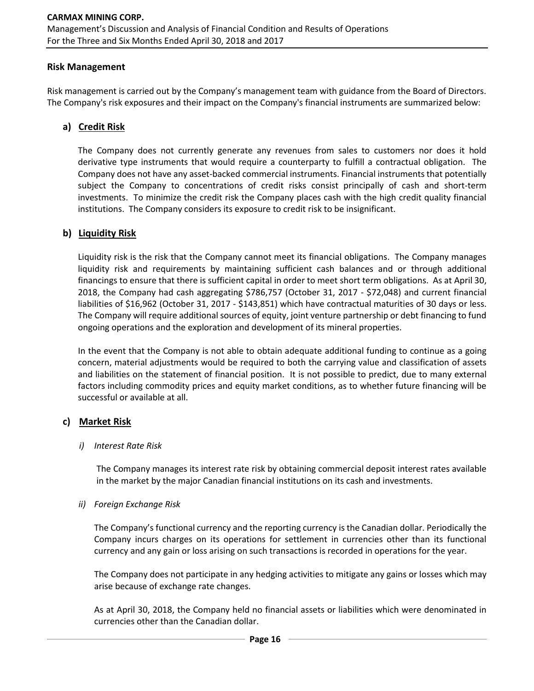## **Risk Management**

Risk management is carried out by the Company's management team with guidance from the Board of Directors. The Company's risk exposures and their impact on the Company's financial instruments are summarized below:

## **a) Credit Risk**

The Company does not currently generate any revenues from sales to customers nor does it hold derivative type instruments that would require a counterparty to fulfill a contractual obligation. The Company does not have any asset-backed commercial instruments. Financial instruments that potentially subject the Company to concentrations of credit risks consist principally of cash and short-term investments. To minimize the credit risk the Company places cash with the high credit quality financial institutions. The Company considers its exposure to credit risk to be insignificant.

## **b) Liquidity Risk**

Liquidity risk is the risk that the Company cannot meet its financial obligations. The Company manages liquidity risk and requirements by maintaining sufficient cash balances and or through additional financings to ensure that there is sufficient capital in order to meet short term obligations. As at April 30, 2018, the Company had cash aggregating \$786,757 (October 31, 2017 - \$72,048) and current financial liabilities of \$16,962 (October 31, 2017 - \$143,851) which have contractual maturities of 30 days or less. The Company will require additional sources of equity, joint venture partnership or debt financing to fund ongoing operations and the exploration and development of its mineral properties.

In the event that the Company is not able to obtain adequate additional funding to continue as a going concern, material adjustments would be required to both the carrying value and classification of assets and liabilities on the statement of financial position. It is not possible to predict, due to many external factors including commodity prices and equity market conditions, as to whether future financing will be successful or available at all.

## **c) Market Risk**

## *i) Interest Rate Risk*

The Company manages its interest rate risk by obtaining commercial deposit interest rates available in the market by the major Canadian financial institutions on its cash and investments.

## *ii) Foreign Exchange Risk*

The Company's functional currency and the reporting currency is the Canadian dollar. Periodically the Company incurs charges on its operations for settlement in currencies other than its functional currency and any gain or loss arising on such transactions is recorded in operations for the year.

The Company does not participate in any hedging activities to mitigate any gains or losses which may arise because of exchange rate changes.

As at April 30, 2018, the Company held no financial assets or liabilities which were denominated in currencies other than the Canadian dollar.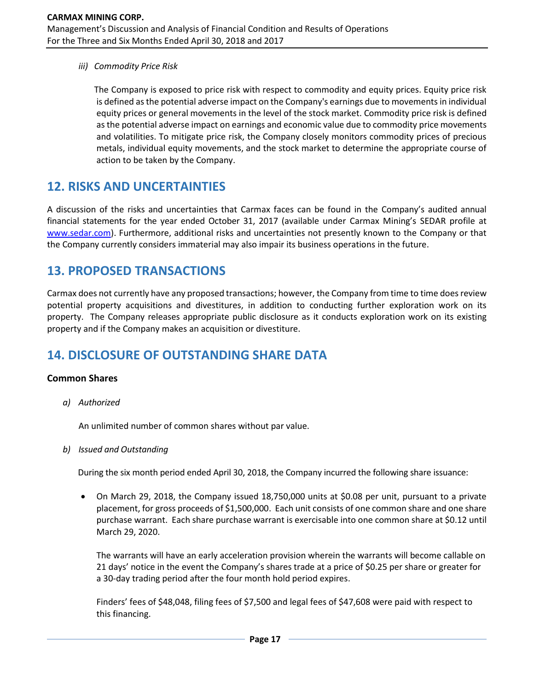*iii) Commodity Price Risk*

The Company is exposed to price risk with respect to commodity and equity prices. Equity price risk is defined as the potential adverse impact on the Company's earnings due to movements in individual equity prices or general movements in the level of the stock market. Commodity price risk is defined as the potential adverse impact on earnings and economic value due to commodity price movements and volatilities. To mitigate price risk, the Company closely monitors commodity prices of precious metals, individual equity movements, and the stock market to determine the appropriate course of action to be taken by the Company.

## **12. RISKS AND UNCERTAINTIES**

A discussion of the risks and uncertainties that Carmax faces can be found in the Company's audited annual financial statements for the year ended October 31, 2017 (available under Carmax Mining's SEDAR profile at [www.sedar.com\)](http://www.sedar.com/). Furthermore, additional risks and uncertainties not presently known to the Company or that the Company currently considers immaterial may also impair its business operations in the future.

## **13. PROPOSED TRANSACTIONS**

Carmax does not currently have any proposed transactions; however, the Company from time to time does review potential property acquisitions and divestitures, in addition to conducting further exploration work on its property. The Company releases appropriate public disclosure as it conducts exploration work on its existing property and if the Company makes an acquisition or divestiture.

## **14. DISCLOSURE OF OUTSTANDING SHARE DATA**

## **Common Shares**

*a) Authorized*

An unlimited number of common shares without par value.

*b) Issued and Outstanding*

During the six month period ended April 30, 2018, the Company incurred the following share issuance:

• On March 29, 2018, the Company issued 18,750,000 units at \$0.08 per unit, pursuant to a private placement, for gross proceeds of \$1,500,000. Each unit consists of one common share and one share purchase warrant. Each share purchase warrant is exercisable into one common share at \$0.12 until March 29, 2020.

The warrants will have an early acceleration provision wherein the warrants will become callable on 21 days' notice in the event the Company's shares trade at a price of \$0.25 per share or greater for a 30-day trading period after the four month hold period expires.

Finders' fees of \$48,048, filing fees of \$7,500 and legal fees of \$47,608 were paid with respect to this financing.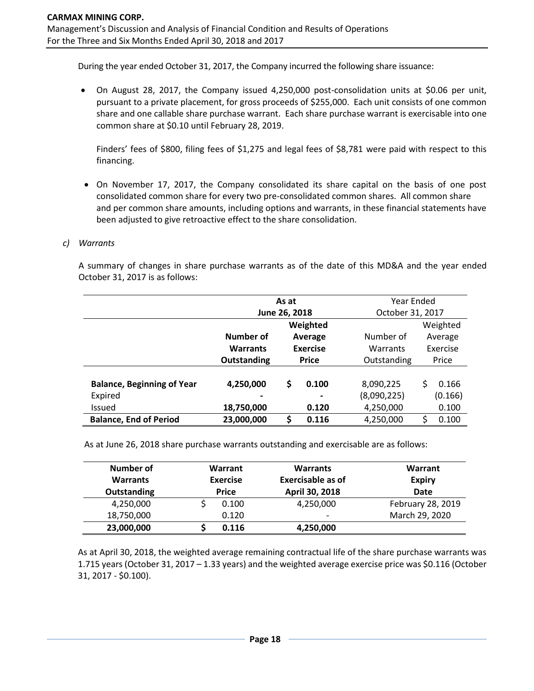During the year ended October 31, 2017, the Company incurred the following share issuance:

• On August 28, 2017, the Company issued 4,250,000 post-consolidation units at \$0.06 per unit, pursuant to a private placement, for gross proceeds of \$255,000. Each unit consists of one common share and one callable share purchase warrant. Each share purchase warrant is exercisable into one common share at \$0.10 until February 28, 2019.

Finders' fees of \$800, filing fees of \$1,275 and legal fees of \$8,781 were paid with respect to this financing.

• On November 17, 2017, the Company consolidated its share capital on the basis of one post consolidated common share for every two pre-consolidated common shares. All common share and per common share amounts, including options and warrants, in these financial statements have been adjusted to give retroactive effect to the share consolidation.

#### *c) Warrants*

A summary of changes in share purchase warrants as of the date of this MD&A and the year ended October 31, 2017 is as follows:

|                                   | As at           |              |                          | Year Ended  |                  |          |  |  |
|-----------------------------------|-----------------|--------------|--------------------------|-------------|------------------|----------|--|--|
|                                   | June 26, 2018   |              |                          |             | October 31, 2017 |          |  |  |
|                                   |                 | Weighted     |                          |             |                  | Weighted |  |  |
|                                   | Number of       | Average      |                          | Number of   |                  | Average  |  |  |
|                                   | <b>Warrants</b> | Exercise     |                          | Warrants    |                  | Exercise |  |  |
|                                   | Outstanding     | <b>Price</b> |                          | Outstanding | Price            |          |  |  |
|                                   |                 |              |                          |             |                  |          |  |  |
| <b>Balance, Beginning of Year</b> | 4,250,000       | \$           | 0.100                    | 8,090,225   | \$               | 0.166    |  |  |
| Expired                           |                 |              | $\overline{\phantom{a}}$ | (8,090,225) |                  | (0.166)  |  |  |
| <b>Issued</b>                     | 18,750,000      |              | 0.120                    | 4,250,000   |                  | 0.100    |  |  |
| <b>Balance, End of Period</b>     | 23,000,000      | \$           | 0.116                    | 4,250,000   | Ś                | 0.100    |  |  |

As at June 26, 2018 share purchase warrants outstanding and exercisable are as follows:

| Number of<br><b>Warrants</b><br><b>Outstanding</b> | Warrant<br><b>Exercise</b><br><b>Price</b> | <b>Warrants</b><br><b>Exercisable as of</b><br>April 30, 2018 | Warrant<br><b>Expiry</b><br><b>Date</b> |  |  |
|----------------------------------------------------|--------------------------------------------|---------------------------------------------------------------|-----------------------------------------|--|--|
| 4,250,000                                          | 0.100                                      | 4,250,000                                                     | February 28, 2019                       |  |  |
| 18,750,000                                         | 0.120                                      | $\overline{\phantom{0}}$                                      | March 29, 2020                          |  |  |
| 23,000,000                                         | 0.116                                      | 4,250,000                                                     |                                         |  |  |

As at April 30, 2018, the weighted average remaining contractual life of the share purchase warrants was 1.715 years (October 31, 2017 – 1.33 years) and the weighted average exercise price was \$0.116 (October 31, 2017 - \$0.100).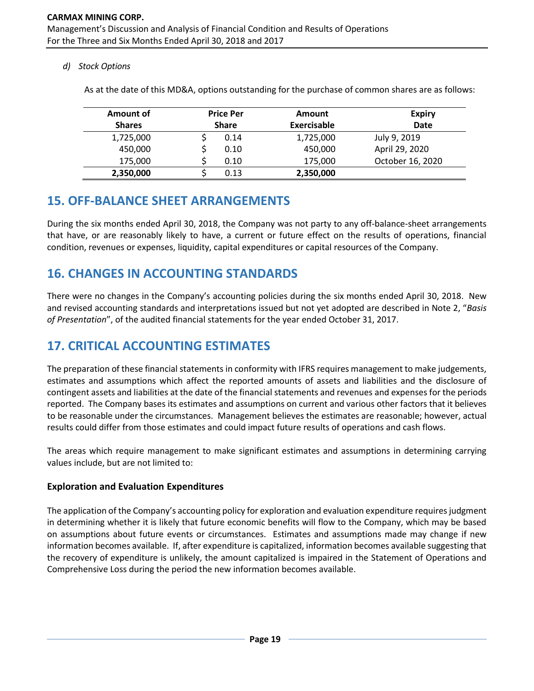*d) Stock Options*

| Amount of     | <b>Price Per</b> |              | Amount             | <b>Expiry</b>    |  |  |
|---------------|------------------|--------------|--------------------|------------------|--|--|
| <b>Shares</b> |                  | <b>Share</b> | <b>Exercisable</b> | <b>Date</b>      |  |  |
| 1,725,000     |                  | 0.14         | 1,725,000          | July 9, 2019     |  |  |
| 450,000       |                  | 0.10         | 450,000            | April 29, 2020   |  |  |
| 175,000       |                  | 0.10         | 175,000            | October 16, 2020 |  |  |
| 2,350,000     |                  | 0.13         | 2,350,000          |                  |  |  |

As at the date of this MD&A, options outstanding for the purchase of common shares are as follows:

## **15. OFF-BALANCE SHEET ARRANGEMENTS**

During the six months ended April 30, 2018, the Company was not party to any off-balance-sheet arrangements that have, or are reasonably likely to have, a current or future effect on the results of operations, financial condition, revenues or expenses, liquidity, capital expenditures or capital resources of the Company.

## **16. CHANGES IN ACCOUNTING STANDARDS**

There were no changes in the Company's accounting policies during the six months ended April 30, 2018. New and revised accounting standards and interpretations issued but not yet adopted are described in Note 2, "*Basis of Presentation*", of the audited financial statements for the year ended October 31, 2017.

# **17. CRITICAL ACCOUNTING ESTIMATES**

The preparation of these financial statements in conformity with IFRS requires management to make judgements, estimates and assumptions which affect the reported amounts of assets and liabilities and the disclosure of contingent assets and liabilities at the date of the financial statements and revenues and expenses for the periods reported. The Company bases its estimates and assumptions on current and various other factors that it believes to be reasonable under the circumstances. Management believes the estimates are reasonable; however, actual results could differ from those estimates and could impact future results of operations and cash flows.

The areas which require management to make significant estimates and assumptions in determining carrying values include, but are not limited to:

## **Exploration and Evaluation Expenditures**

The application of the Company's accounting policy for exploration and evaluation expenditure requires judgment in determining whether it is likely that future economic benefits will flow to the Company, which may be based on assumptions about future events or circumstances. Estimates and assumptions made may change if new information becomes available. If, after expenditure is capitalized, information becomes available suggesting that the recovery of expenditure is unlikely, the amount capitalized is impaired in the Statement of Operations and Comprehensive Loss during the period the new information becomes available.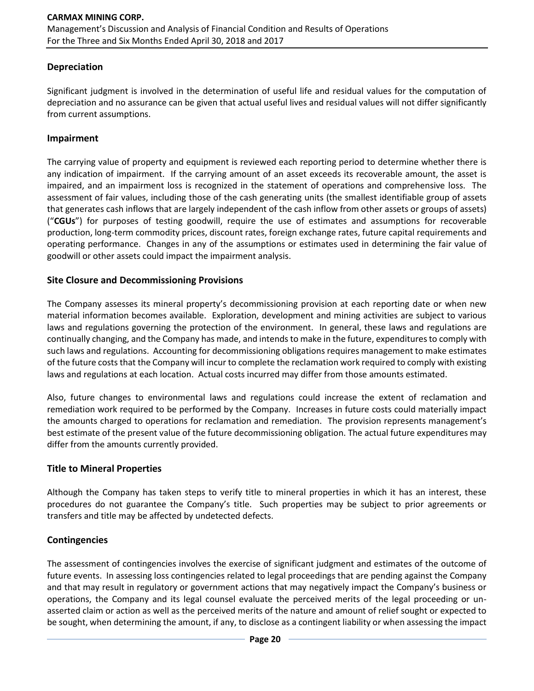## **Depreciation**

Significant judgment is involved in the determination of useful life and residual values for the computation of depreciation and no assurance can be given that actual useful lives and residual values will not differ significantly from current assumptions.

## **Impairment**

The carrying value of property and equipment is reviewed each reporting period to determine whether there is any indication of impairment. If the carrying amount of an asset exceeds its recoverable amount, the asset is impaired, and an impairment loss is recognized in the statement of operations and comprehensive loss. The assessment of fair values, including those of the cash generating units (the smallest identifiable group of assets that generates cash inflows that are largely independent of the cash inflow from other assets or groups of assets) ("**CGUs**") for purposes of testing goodwill, require the use of estimates and assumptions for recoverable production, long-term commodity prices, discount rates, foreign exchange rates, future capital requirements and operating performance. Changes in any of the assumptions or estimates used in determining the fair value of goodwill or other assets could impact the impairment analysis.

## **Site Closure and Decommissioning Provisions**

The Company assesses its mineral property's decommissioning provision at each reporting date or when new material information becomes available. Exploration, development and mining activities are subject to various laws and regulations governing the protection of the environment. In general, these laws and regulations are continually changing, and the Company has made, and intends to make in the future, expenditures to comply with such laws and regulations. Accounting for decommissioning obligations requires management to make estimates of the future costs that the Company will incur to complete the reclamation work required to comply with existing laws and regulations at each location. Actual costs incurred may differ from those amounts estimated.

Also, future changes to environmental laws and regulations could increase the extent of reclamation and remediation work required to be performed by the Company. Increases in future costs could materially impact the amounts charged to operations for reclamation and remediation. The provision represents management's best estimate of the present value of the future decommissioning obligation. The actual future expenditures may differ from the amounts currently provided.

## **Title to Mineral Properties**

Although the Company has taken steps to verify title to mineral properties in which it has an interest, these procedures do not guarantee the Company's title. Such properties may be subject to prior agreements or transfers and title may be affected by undetected defects.

## **Contingencies**

The assessment of contingencies involves the exercise of significant judgment and estimates of the outcome of future events. In assessing loss contingencies related to legal proceedings that are pending against the Company and that may result in regulatory or government actions that may negatively impact the Company's business or operations, the Company and its legal counsel evaluate the perceived merits of the legal proceeding or unasserted claim or action as well as the perceived merits of the nature and amount of relief sought or expected to be sought, when determining the amount, if any, to disclose as a contingent liability or when assessing the impact